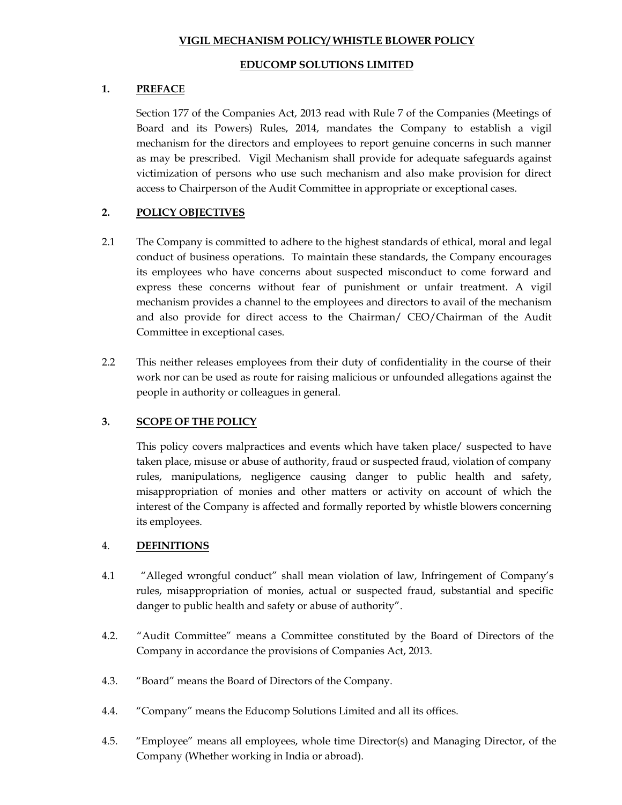#### **VIGIL MECHANISM POLICY/ WHISTLE BLOWER POLICY**

#### **EDUCOMP SOLUTIONS LIMITED**

### **1. PREFACE**

Section 177 of the Companies Act, 2013 read with Rule 7 of the Companies (Meetings of Board and its Powers) Rules, 2014, mandates the Company to establish a vigil mechanism for the directors and employees to report genuine concerns in such manner as may be prescribed. Vigil Mechanism shall provide for adequate safeguards against victimization of persons who use such mechanism and also make provision for direct access to Chairperson of the Audit Committee in appropriate or exceptional cases.

# **2. POLICY OBJECTIVES**

- 2.1 The Company is committed to adhere to the highest standards of ethical, moral and legal conduct of business operations. To maintain these standards, the Company encourages its employees who have concerns about suspected misconduct to come forward and express these concerns without fear of punishment or unfair treatment. A vigil mechanism provides a channel to the employees and directors to avail of the mechanism and also provide for direct access to the Chairman/ CEO/Chairman of the Audit Committee in exceptional cases.
- 2.2 This neither releases employees from their duty of confidentiality in the course of their work nor can be used as route for raising malicious or unfounded allegations against the people in authority or colleagues in general.

# **3. SCOPE OF THE POLICY**

This policy covers malpractices and events which have taken place/ suspected to have taken place, misuse or abuse of authority, fraud or suspected fraud, violation of company rules, manipulations, negligence causing danger to public health and safety, misappropriation of monies and other matters or activity on account of which the interest of the Company is affected and formally reported by whistle blowers concerning its employees.

# 4. **DEFINITIONS**

- 4.1 "Alleged wrongful conduct" shall mean violation of law, Infringement of Company's rules, misappropriation of monies, actual or suspected fraud, substantial and specific danger to public health and safety or abuse of authority".
- 4.2. "Audit Committee" means a Committee constituted by the Board of Directors of the Company in accordance the provisions of Companies Act, 2013.
- 4.3. "Board" means the Board of Directors of the Company.
- 4.4. "Company" means the Educomp Solutions Limited and all its offices.
- 4.5. "Employee" means all employees, whole time Director(s) and Managing Director, of the Company (Whether working in India or abroad).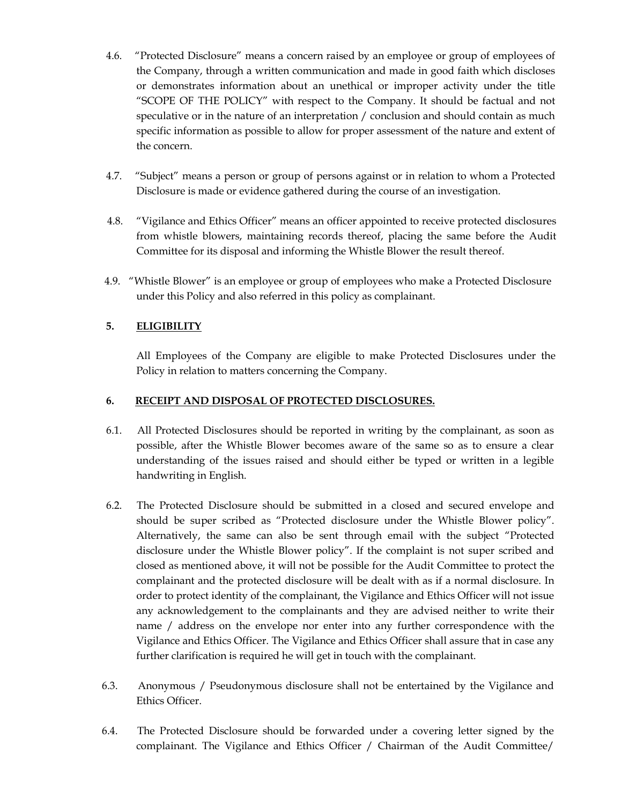- 4.6. "Protected Disclosure" means a concern raised by an employee or group of employees of the Company, through a written communication and made in good faith which discloses or demonstrates information about an unethical or improper activity under the title "SCOPE OF THE POLICY" with respect to the Company. It should be factual and not speculative or in the nature of an interpretation / conclusion and should contain as much specific information as possible to allow for proper assessment of the nature and extent of the concern.
- 4.7. "Subject" means a person or group of persons against or in relation to whom a Protected Disclosure is made or evidence gathered during the course of an investigation.
- 4.8. "Vigilance and Ethics Officer" means an officer appointed to receive protected disclosures from whistle blowers, maintaining records thereof, placing the same before the Audit Committee for its disposal and informing the Whistle Blower the result thereof.
- 4.9. "Whistle Blower" is an employee or group of employees who make a Protected Disclosure under this Policy and also referred in this policy as complainant.

# **5. ELIGIBILITY**

All Employees of the Company are eligible to make Protected Disclosures under the Policy in relation to matters concerning the Company.

#### **6. RECEIPT AND DISPOSAL OF PROTECTED DISCLOSURES.**

- 6.1. All Protected Disclosures should be reported in writing by the complainant, as soon as possible, after the Whistle Blower becomes aware of the same so as to ensure a clear understanding of the issues raised and should either be typed or written in a legible handwriting in English.
- 6.2. The Protected Disclosure should be submitted in a closed and secured envelope and should be super scribed as "Protected disclosure under the Whistle Blower policy". Alternatively, the same can also be sent through email with the subject "Protected disclosure under the Whistle Blower policy". If the complaint is not super scribed and closed as mentioned above, it will not be possible for the Audit Committee to protect the complainant and the protected disclosure will be dealt with as if a normal disclosure. In order to protect identity of the complainant, the Vigilance and Ethics Officer will not issue any acknowledgement to the complainants and they are advised neither to write their name / address on the envelope nor enter into any further correspondence with the Vigilance and Ethics Officer. The Vigilance and Ethics Officer shall assure that in case any further clarification is required he will get in touch with the complainant.
- 6.3. Anonymous / Pseudonymous disclosure shall not be entertained by the Vigilance and Ethics Officer.
- 6.4. The Protected Disclosure should be forwarded under a covering letter signed by the complainant. The Vigilance and Ethics Officer / Chairman of the Audit Committee/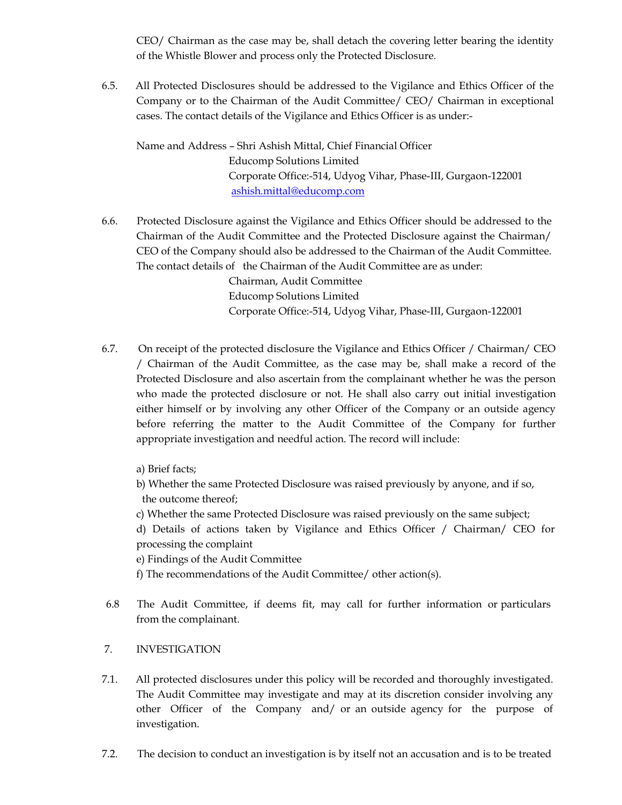CEO/ Chairman as the case may be, shall detach the covering letter bearing the identity of the Whistle Blower and process only the Protected Disclosure.

6.5. All Protected Disclosures should be addressed to the Vigilance and Ethics Officer of the Company or to the Chairman of the Audit Committee/ CEO/ Chairman in exceptional cases. The contact details of the Vigilance and Ethics Officer is as under:-

Name and Address – Shri Ashish Mittal, Chief Financial Officer Educomp Solutions Limited Corporate Office:-514, Udyog Vihar, Phase-III, Gurgaon-122001 ashish.mittal@educomp.com

- 6.6. Protected Disclosure against the Vigilance and Ethics Officer should be addressed to the Chairman of the Audit Committee and the Protected Disclosure against the Chairman/ CEO of the Company should also be addressed to the Chairman of the Audit Committee. The contact details of the Chairman of the Audit Committee are as under: Chairman, Audit Committee Educomp Solutions Limited Corporate Office:-514, Udyog Vihar, Phase-III, Gurgaon-122001
- 6.7. On receipt of the protected disclosure the Vigilance and Ethics Officer / Chairman/ CEO / Chairman of the Audit Committee, as the case may be, shall make a record of the Protected Disclosure and also ascertain from the complainant whether he was the person who made the protected disclosure or not. He shall also carry out initial investigation either himself or by involving any other Officer of the Company or an outside agency before referring the matter to the Audit Committee of the Company for further

a) Brief facts;

b) Whether the same Protected Disclosure was raised previously by anyone, and if so, the outcome thereof;

c) Whether the same Protected Disclosure was raised previously on the same subject;

d) Details of actions taken by Vigilance and Ethics Officer / Chairman/ CEO for processing the complaint

e) Findings of the Audit Committee

f) The recommendations of the Audit Committee/ other action(s).

appropriate investigation and needful action. The record will include:

6.8 The Audit Committee, if deems fit, may call for further information or particulars from the complainant.

# 7. INVESTIGATION

- 7.1. All protected disclosures under this policy will be recorded and thoroughly investigated. The Audit Committee may investigate and may at its discretion consider involving any other Officer of the Company and/ or an outside agency for the purpose of investigation.
- 7.2. The decision to conduct an investigation is by itself not an accusation and is to be treated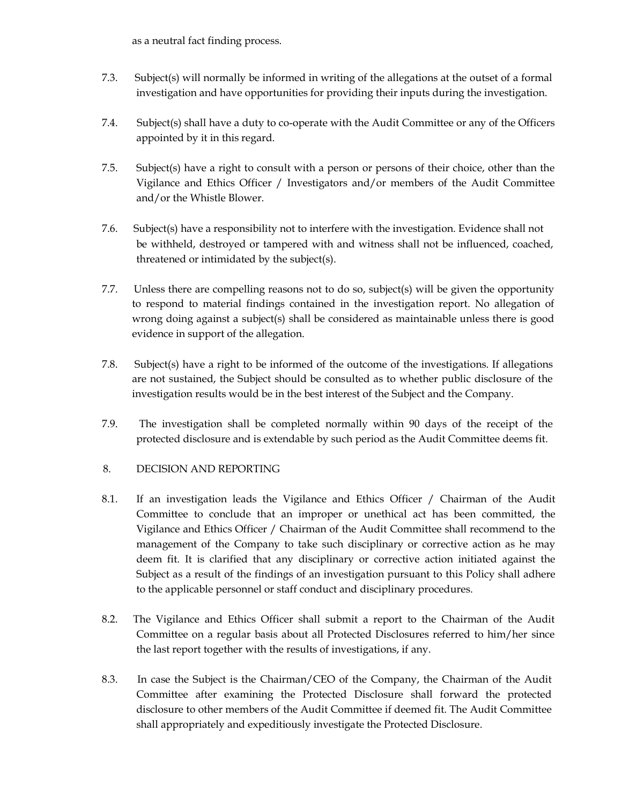as a neutral fact finding process.

- 7.3. Subject(s) will normally be informed in writing of the allegations at the outset of a formal investigation and have opportunities for providing their inputs during the investigation.
- 7.4. Subject(s) shall have a duty to co-operate with the Audit Committee or any of the Officers appointed by it in this regard.
- 7.5. Subject(s) have a right to consult with a person or persons of their choice, other than the Vigilance and Ethics Officer / Investigators and/or members of the Audit Committee and/or the Whistle Blower.
- 7.6. Subject(s) have a responsibility not to interfere with the investigation. Evidence shall not be withheld, destroyed or tampered with and witness shall not be influenced, coached, threatened or intimidated by the subject(s).
- 7.7. Unless there are compelling reasons not to do so, subject(s) will be given the opportunity to respond to material findings contained in the investigation report. No allegation of wrong doing against a subject(s) shall be considered as maintainable unless there is good evidence in support of the allegation.
- 7.8. Subject(s) have a right to be informed of the outcome of the investigations. If allegations are not sustained, the Subject should be consulted as to whether public disclosure of the investigation results would be in the best interest of the Subject and the Company.
- 7.9. The investigation shall be completed normally within 90 days of the receipt of the protected disclosure and is extendable by such period as the Audit Committee deems fit.

# 8. DECISION AND REPORTING

- 8.1. If an investigation leads the Vigilance and Ethics Officer / Chairman of the Audit Committee to conclude that an improper or unethical act has been committed, the Vigilance and Ethics Officer / Chairman of the Audit Committee shall recommend to the management of the Company to take such disciplinary or corrective action as he may deem fit. It is clarified that any disciplinary or corrective action initiated against the Subject as a result of the findings of an investigation pursuant to this Policy shall adhere to the applicable personnel or staff conduct and disciplinary procedures.
- 8.2. The Vigilance and Ethics Officer shall submit a report to the Chairman of the Audit Committee on a regular basis about all Protected Disclosures referred to him/her since the last report together with the results of investigations, if any.
- 8.3. In case the Subject is the Chairman/CEO of the Company, the Chairman of the Audit Committee after examining the Protected Disclosure shall forward the protected disclosure to other members of the Audit Committee if deemed fit. The Audit Committee shall appropriately and expeditiously investigate the Protected Disclosure.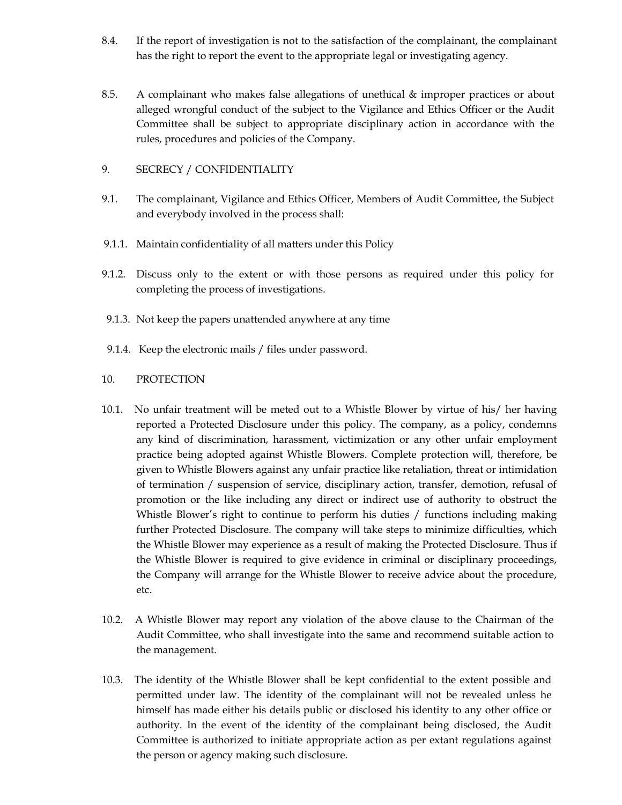- 8.4. If the report of investigation is not to the satisfaction of the complainant, the complainant has the right to report the event to the appropriate legal or investigating agency.
- 8.5. A complainant who makes false allegations of unethical & improper practices or about alleged wrongful conduct of the subject to the Vigilance and Ethics Officer or the Audit Committee shall be subject to appropriate disciplinary action in accordance with the rules, procedures and policies of the Company.
- 9. SECRECY / CONFIDENTIALITY
- 9.1. The complainant, Vigilance and Ethics Officer, Members of Audit Committee, the Subject and everybody involved in the process shall:
- 9.1.1. Maintain confidentiality of all matters under this Policy
- 9.1.2. Discuss only to the extent or with those persons as required under this policy for completing the process of investigations.
- 9.1.3. Not keep the papers unattended anywhere at any time
- 9.1.4. Keep the electronic mails / files under password.
- 10. PROTECTION
- 10.1. No unfair treatment will be meted out to a Whistle Blower by virtue of his/ her having reported a Protected Disclosure under this policy. The company, as a policy, condemns any kind of discrimination, harassment, victimization or any other unfair employment practice being adopted against Whistle Blowers. Complete protection will, therefore, be given to Whistle Blowers against any unfair practice like retaliation, threat or intimidation of termination / suspension of service, disciplinary action, transfer, demotion, refusal of promotion or the like including any direct or indirect use of authority to obstruct the Whistle Blower's right to continue to perform his duties / functions including making further Protected Disclosure. The company will take steps to minimize difficulties, which the Whistle Blower may experience as a result of making the Protected Disclosure. Thus if the Whistle Blower is required to give evidence in criminal or disciplinary proceedings, the Company will arrange for the Whistle Blower to receive advice about the procedure, etc.
- 10.2. A Whistle Blower may report any violation of the above clause to the Chairman of the Audit Committee, who shall investigate into the same and recommend suitable action to the management.
- 10.3. The identity of the Whistle Blower shall be kept confidential to the extent possible and permitted under law. The identity of the complainant will not be revealed unless he himself has made either his details public or disclosed his identity to any other office or authority. In the event of the identity of the complainant being disclosed, the Audit Committee is authorized to initiate appropriate action as per extant regulations against the person or agency making such disclosure.